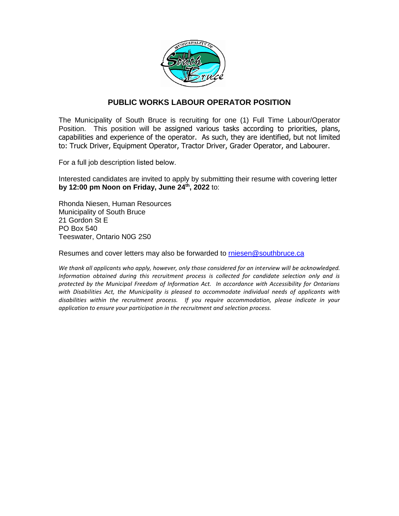

### **PUBLIC WORKS LABOUR OPERATOR POSITION**

The Municipality of South Bruce is recruiting for one (1) Full Time Labour/Operator Position. This position will be assigned various tasks according to priorities, plans, capabilities and experience of the operator. As such, they are identified, but not limited to: Truck Driver, Equipment Operator, Tractor Driver, Grader Operator, and Labourer.

For a full job description listed below.

Interested candidates are invited to apply by submitting their resume with covering letter **by 12:00 pm Noon on Friday, June 24th, 2022** to:

Rhonda Niesen, Human Resources Municipality of South Bruce 21 Gordon St E PO Box 540 Teeswater, Ontario N0G 2S0

Resumes and cover letters may also be forwarded to [rniesen@southbruce.ca](mailto:rniesen@southbruce.ca)

*We thank all applicants who apply, however, only those considered for an interview will be acknowledged. Information obtained during this recruitment process is collected for candidate selection only and is protected by the Municipal Freedom of Information Act. In accordance with Accessibility for Ontarians with Disabilities Act, the Municipality is pleased to accommodate individual needs of applicants with disabilities within the recruitment process. If you require accommodation, please indicate in your application to ensure your participation in the recruitment and selection process.*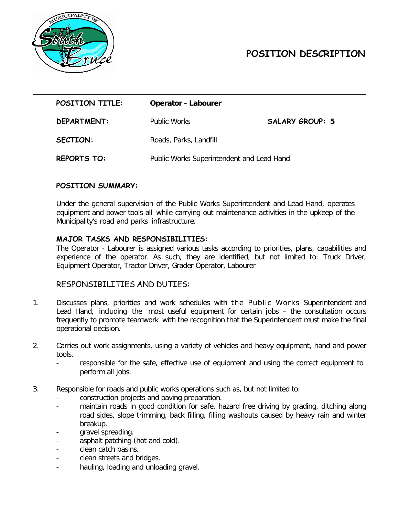

# **POSITION DESCRIPTION**

| POSITION TITLE:    | <b>Operator - Labourer</b>                |                        |
|--------------------|-------------------------------------------|------------------------|
| DEPARTMENT:        | Public Works                              | <b>SALARY GROUP: 5</b> |
| <b>SECTION:</b>    | Roads, Parks, Landfill                    |                        |
| <b>REPORTS TO:</b> | Public Works Superintendent and Lead Hand |                        |

#### **POSITION SUMMARY:**

Under the general supervision of the Public Works Superintendent and Lead Hand, operates equipment and power tools all while carrying out maintenance activities in the upkeep of the Municipality's road and parks infrastructure.

#### **MAJOR TASKS AND RESPONSIBILITIES:**

The Operator - Labourer is assigned various tasks according to priorities, plans, capabilities and experience of the operator. As such, they are identified, but not limited to: Truck Driver, Equipment Operator, Tractor Driver, Grader Operator, Labourer

#### RESPONSIBILITIES AND DUTIES:

- 1. Discusses plans, priorities and work schedules with the Public Works Superintendent and Lead Hand, including the most useful equipment for certain jobs – the consultation occurs frequently to promote teamwork with the recognition that the Superintendent must make the final operational decision.
- 2. Carries out work assignments, using a variety of vehicles and heavy equipment, hand and power tools.
	- responsible for the safe, effective use of equipment and using the correct equipment to perform all jobs.
- 3. Responsible for roads and public works operations such as, but not limited to:
	- construction projects and paving preparation.
	- maintain roads in good condition for safe, hazard free driving by grading, ditching along road sides, slope trimming, back filling, filling washouts caused by heavy rain and winter breakup.
	- gravel spreading.
	- asphalt patching (hot and cold).
	- clean catch basins.
	- clean streets and bridges.
	- hauling, loading and unloading gravel.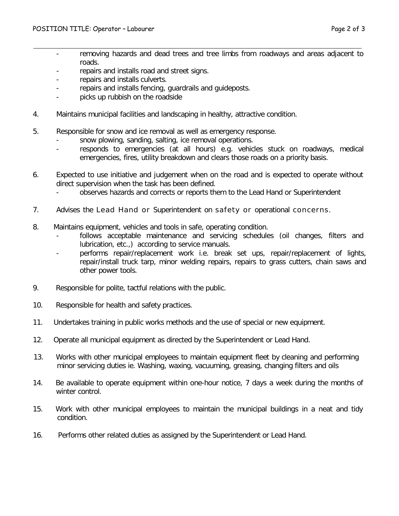- removing hazards and dead trees and tree limbs from roadways and areas adjacent to roads.
- repairs and installs road and street signs.
- repairs and installs culverts.
- repairs and installs fencing, quardrails and guideposts.
- picks up rubbish on the roadside
- 4. Maintains municipal facilities and landscaping in healthy, attractive condition.
- 5. Responsible for snow and ice removal as well as emergency response.
	- snow plowing, sanding, salting, ice removal operations.
	- responds to emergencies (at all hours) e.g. vehicles stuck on roadways, medical emergencies, fires, utility breakdown and clears those roads on a priority basis.
- 6. Expected to use initiative and judgement when on the road and is expected to operate without direct supervision when the task has been defined.
	- observes hazards and corrects or reports them to the Lead Hand or Superintendent
- 7. Advises the Lead Hand or Superintendent on safety or operational concerns.
- 8. Maintains equipment, vehicles and tools in safe, operating condition.
	- follows acceptable maintenance and servicing schedules (oil changes, filters and lubrication, etc.,) according to service manuals.
	- performs repair/replacement work i.e. break set ups, repair/replacement of lights, repair/install truck tarp, minor welding repairs, repairs to grass cutters, chain saws and other power tools.
- 9. Responsible for polite, tactful relations with the public.
- 10. Responsible for health and safety practices.
- 11. Undertakes training in public works methods and the use of special or new equipment.
- 12. Operate all municipal equipment as directed by the Superintendent or Lead Hand.
- 13. Works with other municipal employees to maintain equipment fleet by cleaning and performing minor servicing duties ie. Washing, waxing, vacuuming, greasing, changing filters and oils
- 14. Be available to operate equipment within one-hour notice, 7 days a week during the months of winter control.
- 15. Work with other municipal employees to maintain the municipal buildings in a neat and tidy condition.
- 16. Performs other related duties as assigned by the Superintendent or Lead Hand.